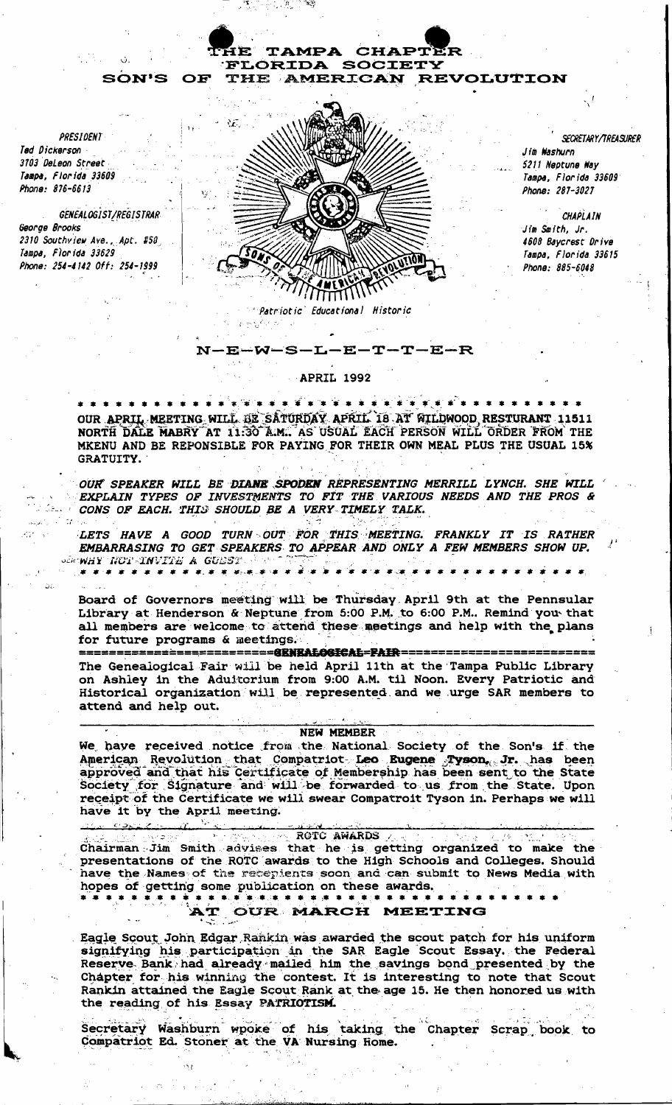**PRESIDENT** Ted Dickerson 3703 DeLeon Street Tampa, Florida 33609 Phone: 876-6613

GENEALOGIST/REGISTRAR George Brooks 2310 Southview Ave., Apt. #58 Tampa, Florida 33629 Phone: 254-4142 Off: 254-1999

**SON'S** 

OF



TAMPA CHAPTER

THE AMERICAN REVOLUTION

**FLORIDA SOCIETY** 

**SECRETARY/TREASURER** Jim Washurn 5211 Neptune Way Tampa, Florida 33609 Phone: 287-3027

CHAPI ATN Jim Smith, Jr. 4608 Baycrest Drive Tampa, Florida 33615 Phone: 885-6048

## **APRIL 1992**

N-E-W-S-L-E-T-T-E-R

OUR APRIL MEETING WILL BE SATURDAY APRIL 18 AT WILDWOOD RESTURANT 11511 NORTH DALE MABRY AT 11:30 A.M. AS USUAL EACH PERSON WILL ORDER FROM THE MKENU AND BE REPONSIBLE FOR PAYING FOR THEIR OWN MEAL PLUS THE USUAL 15% GRATUITY.

OUR SPEAKER WILL BE DIANE SPODEN REPRESENTING MERRILL LYNCH. SHE WILL EXPLAIN TYPES OF INVESTMENTS TO FIT THE VARIOUS NEEDS AND THE PROS & CONS OF EACH. THIS SHOULD BE A VERY TIMELY TALK.

LETS HAVE A GOOD TURN OUT FOR THIS MEETING. FRANKLY IT IS RATHER EMBARRASING TO GET SPEAKERS TO APPEAR AND ONLY A FEW MEMBERS SHOW UP. *ENNAY NOT INVITE A GUEST* **. . . . . . . . . .** .

Board of Governors meeting will be Thursday April 9th at the Pennsular Library at Henderson & Neptune from 5:00 P.M. to 6:00 P.M.. Remind you that all members are welcome to attend these meetings and help with the plans for future programs & meetings.

The Genealogical Fair will be held April 11th at the Tampa Public Library on Ashley in the Aduitorium from 9:00 A.M. til Noon. Every Patriotic and Historical organization will be represented and we urge SAR members to attend and help out.

## **NEW MEMBER**

We have received notice from the National Society of the Son's if the American Revolution that Compatriot Leo Eugene Tyson, Jr. has been approved and that his Certificate of Membership has been sent to the State Society for Signature and will be forwarded to us from the State. Upon receipt of the Certificate we will swear Compatroit Tyson in. Perhaps we will have it by the April meeting.

ROTC AWARDS

Chairman Jim Smith advises that he is getting organized to make the presentations of the ROTC awards to the High Schools and Colleges. Should have the Names of the recepients soon and can submit to News Media with 

## AT OUR MARCH MEETING

Eagle Scout John Edgar Rankin was awarded the scout patch for his uniform signifying his participation in the SAR Eagle Scout Essay. the Federal Reserve Bank had already mailed him the savings bond presented by the Chapter for his winning the contest. It is interesting to note that Scout Rankin attained the Eagle Scout Rank at the age 15. He then honored us with the reading of his Essay PATRIOTISM.

Secretary Washburn wpoke of his taking the Chapter Scrap book to Compatriot Ed. Stoner at the VA Nursing Home.